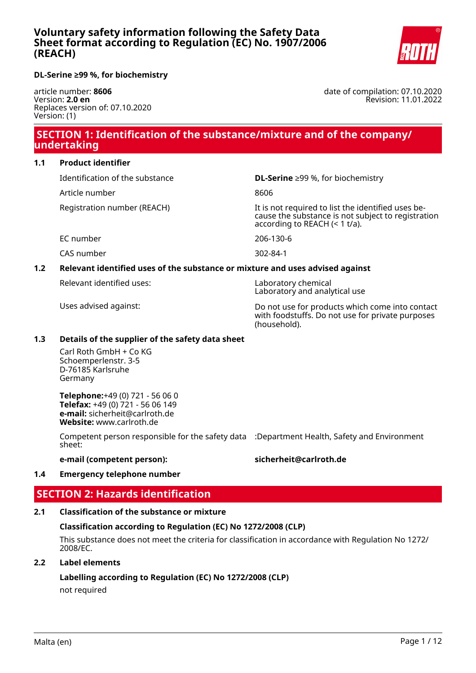

### **DL-Serine ≥99 %, for biochemistry**

article number: **8606** Version: **2.0 en** Replaces version of: 07.10.2020 Version: (1)

date of compilation: 07.10.2020 Revision: 11.01.2022

# **SECTION 1: Identification of the substance/mixture and of the company/ undertaking**

#### **1.1 Product identifier**

Identification of the substance **DL-Serine** ≥99 %, for biochemistry

Article number 8606

Registration number (REACH) The state of the identified uses because the substance is not subject to registration according to REACH (< 1 t/a).

EC number 206-130-6

CAS number 302-84-1

# **1.2 Relevant identified uses of the substance or mixture and uses advised against**

Relevant identified uses: Laboratory chemical

Laboratory and analytical use

Uses advised against: Do not use for products which come into contact with foodstuffs. Do not use for private purposes (household).

#### **1.3 Details of the supplier of the safety data sheet**

Carl Roth GmbH + Co KG Schoemperlenstr. 3-5 D-76185 Karlsruhe Germany

**Telephone:**+49 (0) 721 - 56 06 0 **Telefax:** +49 (0) 721 - 56 06 149 **e-mail:** sicherheit@carlroth.de **Website:** www.carlroth.de

Competent person responsible for the safety data :Department Health, Safety and Environment sheet:

**e-mail (competent person): sicherheit@carlroth.de**

#### **1.4 Emergency telephone number**

# **SECTION 2: Hazards identification**

# **2.1 Classification of the substance or mixture**

# **Classification according to Regulation (EC) No 1272/2008 (CLP)**

This substance does not meet the criteria for classification in accordance with Regulation No 1272/ 2008/EC.

#### **2.2 Label elements**

**Labelling according to Regulation (EC) No 1272/2008 (CLP)**

not required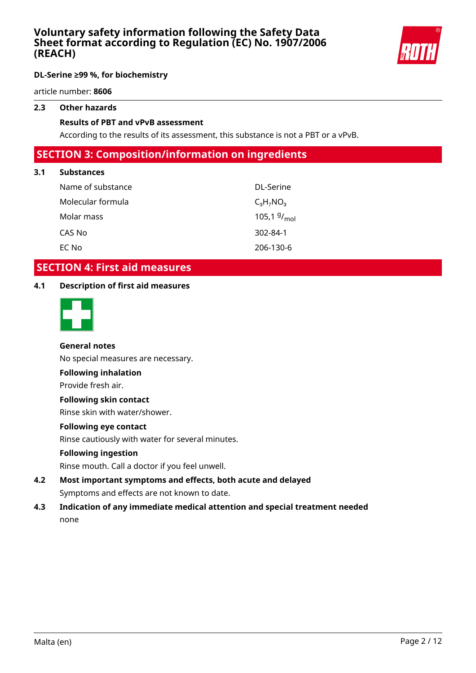

article number: **8606**

# **2.3 Other hazards**

#### **Results of PBT and vPvB assessment**

According to the results of its assessment, this substance is not a PBT or a vPvB.

# **SECTION 3: Composition/information on ingredients**

### **3.1 Substances**

| Name of substance | DL-Serine               |
|-------------------|-------------------------|
| Molecular formula | $C_3H_7NO_3$            |
| Molar mass        | 105,1 $9/_{\text{mol}}$ |
| CAS No            | $302 - 84 - 1$          |
| EC No             | 206-130-6               |

# **SECTION 4: First aid measures**

### **4.1 Description of first aid measures**



# **General notes**

No special measures are necessary.

#### **Following inhalation**

Provide fresh air.

### **Following skin contact**

Rinse skin with water/shower.

### **Following eye contact**

Rinse cautiously with water for several minutes.

#### **Following ingestion**

Rinse mouth. Call a doctor if you feel unwell.

- **4.2 Most important symptoms and effects, both acute and delayed** Symptoms and effects are not known to date.
- **4.3 Indication of any immediate medical attention and special treatment needed** none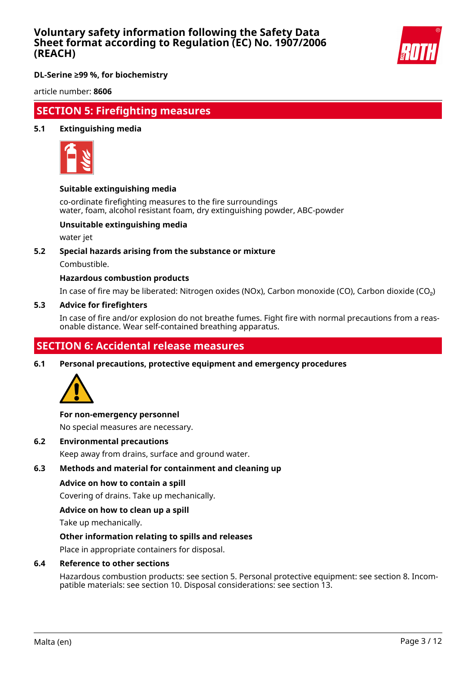

**DL-Serine ≥99 %, for biochemistry**

article number: **8606**

# **SECTION 5: Firefighting measures**

#### **5.1 Extinguishing media**



#### **Suitable extinguishing media**

co-ordinate firefighting measures to the fire surroundings water, foam, alcohol resistant foam, dry extinguishing powder, ABC-powder

### **Unsuitable extinguishing media**

water jet

#### **5.2 Special hazards arising from the substance or mixture**

Combustible.

#### **Hazardous combustion products**

In case of fire may be liberated: Nitrogen oxides (NOx), Carbon monoxide (CO), Carbon dioxide (CO₂)

#### **5.3 Advice for firefighters**

In case of fire and/or explosion do not breathe fumes. Fight fire with normal precautions from a reasonable distance. Wear self-contained breathing apparatus.

# **SECTION 6: Accidental release measures**

**6.1 Personal precautions, protective equipment and emergency procedures**



#### **For non-emergency personnel**

No special measures are necessary.

**6.2 Environmental precautions**

Keep away from drains, surface and ground water.

#### **6.3 Methods and material for containment and cleaning up**

#### **Advice on how to contain a spill**

Covering of drains. Take up mechanically.

#### **Advice on how to clean up a spill**

Take up mechanically.

#### **Other information relating to spills and releases**

Place in appropriate containers for disposal.

#### **6.4 Reference to other sections**

Hazardous combustion products: see section 5. Personal protective equipment: see section 8. Incompatible materials: see section 10. Disposal considerations: see section 13.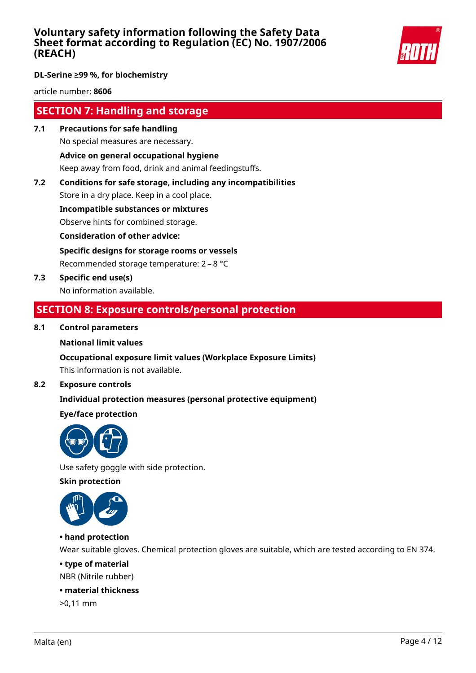

## **DL-Serine ≥99 %, for biochemistry**

article number: **8606**

# **SECTION 7: Handling and storage**

- **7.1 Precautions for safe handling** No special measures are necessary. **Advice on general occupational hygiene** Keep away from food, drink and animal feedingstuffs.
- **7.2 Conditions for safe storage, including any incompatibilities**

Store in a dry place. Keep in a cool place.

**Incompatible substances or mixtures**

Observe hints for combined storage.

**Consideration of other advice:**

**Specific designs for storage rooms or vessels**

Recommended storage temperature: 2 – 8 °C

**7.3 Specific end use(s)** No information available.

# **SECTION 8: Exposure controls/personal protection**

### **8.1 Control parameters**

#### **National limit values**

#### **Occupational exposure limit values (Workplace Exposure Limits)**

This information is not available.

## **8.2 Exposure controls**

# **Individual protection measures (personal protective equipment)**

# **Eye/face protection**



Use safety goggle with side protection.

**Skin protection**



# **• hand protection**

Wear suitable gloves. Chemical protection gloves are suitable, which are tested according to EN 374.

## **• type of material**

NBR (Nitrile rubber)

### **• material thickness**

>0,11 mm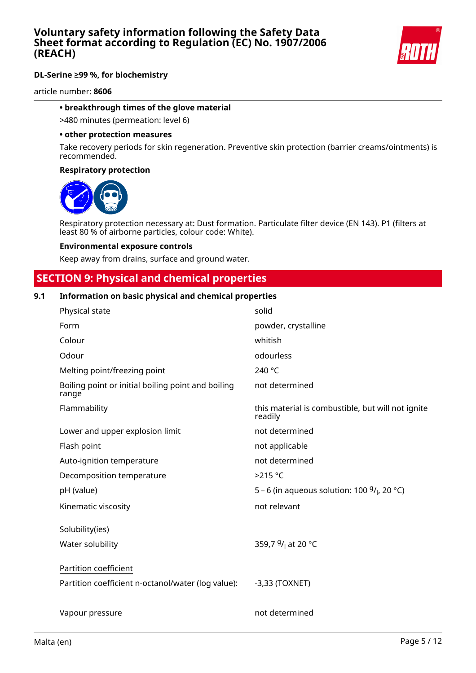

article number: **8606**

#### **• breakthrough times of the glove material**

>480 minutes (permeation: level 6)

#### **• other protection measures**

Take recovery periods for skin regeneration. Preventive skin protection (barrier creams/ointments) is recommended.

#### **Respiratory protection**



Respiratory protection necessary at: Dust formation. Particulate filter device (EN 143). P1 (filters at least 80 % of airborne particles, colour code: White).

#### **Environmental exposure controls**

Keep away from drains, surface and ground water.

# **SECTION 9: Physical and chemical properties**

#### **9.1 Information on basic physical and chemical properties**

| Physical state                                              | solid                                                        |
|-------------------------------------------------------------|--------------------------------------------------------------|
| Form                                                        | powder, crystalline                                          |
| Colour                                                      | whitish                                                      |
| Odour                                                       | odourless                                                    |
| Melting point/freezing point                                | 240 °C                                                       |
| Boiling point or initial boiling point and boiling<br>range | not determined                                               |
| Flammability                                                | this material is combustible, but will not ignite<br>readily |
| Lower and upper explosion limit                             | not determined                                               |
| Flash point                                                 | not applicable                                               |
| Auto-ignition temperature                                   | not determined                                               |
| Decomposition temperature                                   | $>215$ °C                                                    |
| pH (value)                                                  | 5 – 6 (in aqueous solution: 100 $9/1$ , 20 °C)               |
| Kinematic viscosity                                         | not relevant                                                 |
| Solubility(ies)                                             |                                                              |
| Water solubility                                            | 359,7 <sup>9</sup> / <sub>1</sub> at 20 °C                   |
| Partition coefficient                                       |                                                              |
| Partition coefficient n-octanol/water (log value):          | $-3,33$ (TOXNET)                                             |
| Vapour pressure                                             | not determined                                               |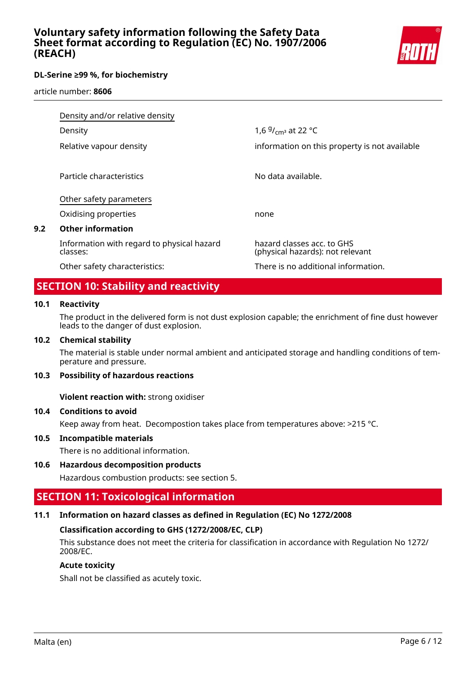

article number: **8606**

| Density and/or relative density                        |                                                                |
|--------------------------------------------------------|----------------------------------------------------------------|
| Density                                                | 1,6 $9/$ <sub>cm</sub> at 22 °C                                |
| Relative vapour density                                | information on this property is not available                  |
| Particle characteristics                               | No data available.                                             |
| Other safety parameters                                |                                                                |
| Oxidising properties                                   | none                                                           |
| <b>Other information</b>                               |                                                                |
| Information with regard to physical hazard<br>classes: | hazard classes acc. to GHS<br>(physical hazards): not relevant |
| Other safety characteristics:                          | There is no additional information.                            |

# **SECTION 10: Stability and reactivity**

#### **10.1 Reactivity**

**9.2 Other information**

The product in the delivered form is not dust explosion capable; the enrichment of fine dust however leads to the danger of dust explosion.

#### **10.2 Chemical stability**

The material is stable under normal ambient and anticipated storage and handling conditions of temperature and pressure.

#### **10.3 Possibility of hazardous reactions**

**Violent reaction with:** strong oxidiser

#### **10.4 Conditions to avoid**

Keep away from heat. Decompostion takes place from temperatures above: >215 °C.

#### **10.5 Incompatible materials**

There is no additional information.

# **10.6 Hazardous decomposition products**

Hazardous combustion products: see section 5.

# **SECTION 11: Toxicological information**

# **11.1 Information on hazard classes as defined in Regulation (EC) No 1272/2008**

# **Classification according to GHS (1272/2008/EC, CLP)**

This substance does not meet the criteria for classification in accordance with Regulation No 1272/ 2008/EC.

### **Acute toxicity**

Shall not be classified as acutely toxic.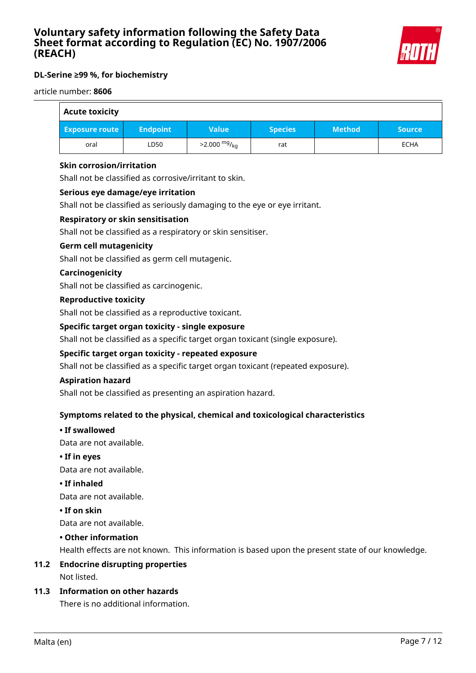

#### article number: **8606**

| <b>Acute toxicity</b> |                 |                        |                |               |               |
|-----------------------|-----------------|------------------------|----------------|---------------|---------------|
| <b>Exposure route</b> | <b>Endpoint</b> | <b>Value</b>           | <b>Species</b> | <b>Method</b> | <b>Source</b> |
| oral                  | LD50            | $>2.000 \frac{mg}{kg}$ | rat            |               | <b>ECHA</b>   |

### **Skin corrosion/irritation**

Shall not be classified as corrosive/irritant to skin.

### **Serious eye damage/eye irritation**

Shall not be classified as seriously damaging to the eye or eye irritant.

### **Respiratory or skin sensitisation**

Shall not be classified as a respiratory or skin sensitiser.

### **Germ cell mutagenicity**

Shall not be classified as germ cell mutagenic.

### **Carcinogenicity**

Shall not be classified as carcinogenic.

#### **Reproductive toxicity**

Shall not be classified as a reproductive toxicant.

### **Specific target organ toxicity - single exposure**

Shall not be classified as a specific target organ toxicant (single exposure).

#### **Specific target organ toxicity - repeated exposure**

Shall not be classified as a specific target organ toxicant (repeated exposure).

#### **Aspiration hazard**

Shall not be classified as presenting an aspiration hazard.

# **Symptoms related to the physical, chemical and toxicological characteristics**

#### **• If swallowed**

Data are not available.

**• If in eyes**

Data are not available.

**• If inhaled**

Data are not available.

#### **• If on skin**

Data are not available.

#### **• Other information**

Health effects are not known. This information is based upon the present state of our knowledge.

# **11.2 Endocrine disrupting properties**

Not listed.

### **11.3 Information on other hazards**

There is no additional information.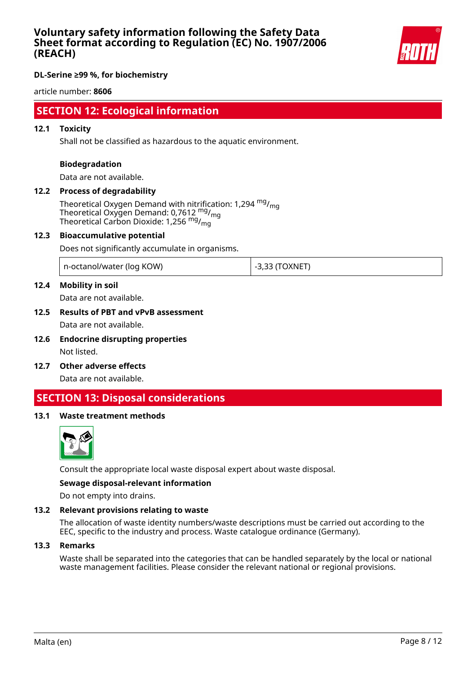

### **DL-Serine ≥99 %, for biochemistry**

article number: **8606**

# **SECTION 12: Ecological information**

#### **12.1 Toxicity**

Shall not be classified as hazardous to the aquatic environment.

#### **Biodegradation**

Data are not available.

# **12.2 Process of degradability**

Theoretical Oxygen Demand with nitrification: 1,294  $mg/m<sub>0</sub>$ Theoretical Oxygen Demand: 0,7612<sup>mg</sup>/<sub>mg</sub> Theoretical Carbon Dioxide: 1,256 mg/mg

#### **12.3 Bioaccumulative potential**

Does not significantly accumulate in organisms.

| n-octanol/water (log KOW) | -3,33 (TOXNET |
|---------------------------|---------------|
|---------------------------|---------------|

### **12.4 Mobility in soil**

Data are not available.

# **12.5 Results of PBT and vPvB assessment** Data are not available.

- **12.6 Endocrine disrupting properties** Not listed.
- **12.7 Other adverse effects**

Data are not available.

# **SECTION 13: Disposal considerations**

#### **13.1 Waste treatment methods**



Consult the appropriate local waste disposal expert about waste disposal.

#### **Sewage disposal-relevant information**

Do not empty into drains.

#### **13.2 Relevant provisions relating to waste**

The allocation of waste identity numbers/waste descriptions must be carried out according to the EEC, specific to the industry and process. Waste catalogue ordinance (Germany).

#### **13.3 Remarks**

Waste shall be separated into the categories that can be handled separately by the local or national waste management facilities. Please consider the relevant national or regional provisions.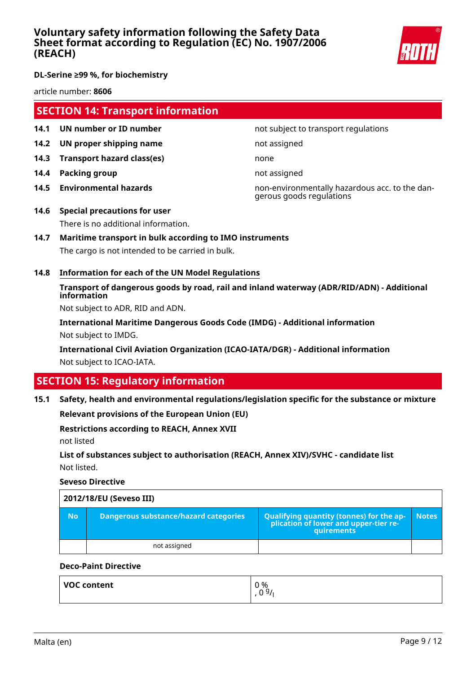

article number: **8606**

# **SECTION 14: Transport information**

- **14.1 UN number or ID number 12.1 14.1 UN number not subject to transport regulations**
- **14.2 UN proper shipping name** not assigned
- **14.3 Transport hazard class(es)** none
- **14.4 Packing group not assigned**
- 

**14.5 Environmental hazards** non-environmentally hazardous acc. to the dangerous goods regulations

- **14.6 Special precautions for user** There is no additional information.
- **14.7 Maritime transport in bulk according to IMO instruments** The cargo is not intended to be carried in bulk.
- **14.8 Information for each of the UN Model Regulations**

# **Transport of dangerous goods by road, rail and inland waterway (ADR/RID/ADN) - Additional information**

Not subject to ADR, RID and ADN.

**International Maritime Dangerous Goods Code (IMDG) - Additional information** Not subject to IMDG.

**International Civil Aviation Organization (ICAO-IATA/DGR) - Additional information** Not subject to ICAO-IATA.

# **SECTION 15: Regulatory information**

# **15.1 Safety, health and environmental regulations/legislation specific for the substance or mixture**

**Relevant provisions of the European Union (EU)**

#### **Restrictions according to REACH, Annex XVII**

not listed

# **List of substances subject to authorisation (REACH, Annex XIV)/SVHC - candidate list** Not listed.

**Seveso Directive**

|           | 2012/18/EU (Seveso III)               |                                                                                                   |              |
|-----------|---------------------------------------|---------------------------------------------------------------------------------------------------|--------------|
| <b>No</b> | Dangerous substance/hazard categories | Qualifying quantity (tonnes) for the application of lower and upper-tier re-<br><b>quirements</b> | <b>Notes</b> |
|           | not assigned                          |                                                                                                   |              |

# **Deco-Paint Directive**

| VOC content | 0 %<br>0.91<br>v |
|-------------|------------------|
|             |                  |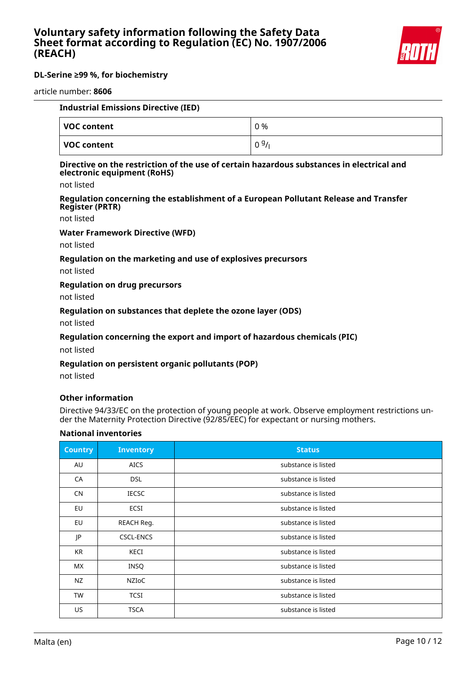

#### article number: **8606**

| <b>Industrial Emissions Directive (IED)</b> |      |
|---------------------------------------------|------|
| VOC content                                 | 0 %  |
| <b>VOC content</b>                          | 0.9/ |

#### **Directive on the restriction of the use of certain hazardous substances in electrical and electronic equipment (RoHS)**

not listed

#### **Regulation concerning the establishment of a European Pollutant Release and Transfer Register (PRTR)**

not listed

#### **Water Framework Directive (WFD)**

not listed

#### **Regulation on the marketing and use of explosives precursors**

not listed

## **Regulation on drug precursors**

not listed

#### **Regulation on substances that deplete the ozone layer (ODS)**

not listed

#### **Regulation concerning the export and import of hazardous chemicals (PIC)**

not listed

#### **Regulation on persistent organic pollutants (POP)**

not listed

#### **Other information**

Directive 94/33/EC on the protection of young people at work. Observe employment restrictions under the Maternity Protection Directive (92/85/EEC) for expectant or nursing mothers.

#### **National inventories**

| <b>Country</b> | <b>Inventory</b> | <b>Status</b>       |
|----------------|------------------|---------------------|
| AU             | <b>AICS</b>      | substance is listed |
| CA             | <b>DSL</b>       | substance is listed |
| <b>CN</b>      | <b>IECSC</b>     | substance is listed |
| EU             | ECSI             | substance is listed |
| <b>EU</b>      | REACH Reg.       | substance is listed |
| JP             | <b>CSCL-ENCS</b> | substance is listed |
| KR             | KECI             | substance is listed |
| <b>MX</b>      | <b>INSQ</b>      | substance is listed |
| NZ             | NZIoC            | substance is listed |
| TW             | <b>TCSI</b>      | substance is listed |
| US             | <b>TSCA</b>      | substance is listed |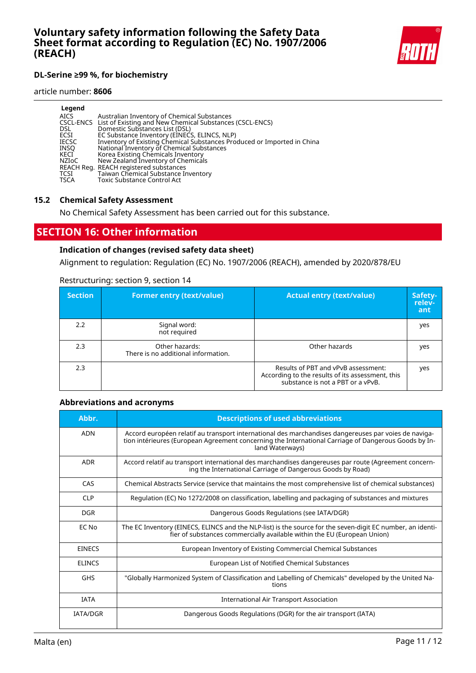

#### article number: **8606**

| Legend       | Australian Inventory of Chemical Substances                             |
|--------------|-------------------------------------------------------------------------|
| <b>AICS</b>  | CSCL-ENCS List of Existing and New Chemical Substances (CSCL-ENCS)      |
| <b>DSL</b>   | Domestic Substances List (DSL)                                          |
| ECSI         | EC Substance Inventory (EINECS, ELINCS, NLP)                            |
| <b>IECSC</b> | Inventory of Existing Chemical Substances Produced or Imported in China |
| INSO         | National Inventory of Chemical Substances                               |
| KECI         | Korea Existing Chemicals Inventory                                      |
| NZIoC        | New Zealand Inventory of Chemicals                                      |
| <b>TCSI</b>  | REACH Reg. REACH registered substances                                  |
| <b>TSCA</b>  | Taiwan Chemical Substance Inventory                                     |
|              | Toxic Substance Control Act                                             |

#### **15.2 Chemical Safety Assessment**

No Chemical Safety Assessment has been carried out for this substance.

# **SECTION 16: Other information**

# **Indication of changes (revised safety data sheet)**

Alignment to regulation: Regulation (EC) No. 1907/2006 (REACH), amended by 2020/878/EU

### Restructuring: section 9, section 14

| <b>Section</b> | <b>Former entry (text/value)</b>                      | <b>Actual entry (text/value)</b>                                                                                             | Safety-<br>relev-<br>ant |
|----------------|-------------------------------------------------------|------------------------------------------------------------------------------------------------------------------------------|--------------------------|
| 2.2            | Signal word:<br>not required                          |                                                                                                                              | yes                      |
| 2.3            | Other hazards:<br>There is no additional information. | Other hazards                                                                                                                | yes                      |
| 2.3            |                                                       | Results of PBT and vPvB assessment:<br>According to the results of its assessment, this<br>substance is not a PBT or a vPvB. | yes                      |

#### **Abbreviations and acronyms**

| Abbr.           | <b>Descriptions of used abbreviations</b>                                                                                                                                                                                       |
|-----------------|---------------------------------------------------------------------------------------------------------------------------------------------------------------------------------------------------------------------------------|
| <b>ADN</b>      | Accord européen relatif au transport international des marchandises dangereuses par voies de naviga-<br>tion intérieures (European Agreement concerning the International Carriage of Dangerous Goods by In-<br>land Waterways) |
| <b>ADR</b>      | Accord relatif au transport international des marchandises dangereuses par route (Agreement concern-<br>ing the International Carriage of Dangerous Goods by Road)                                                              |
| CAS             | Chemical Abstracts Service (service that maintains the most comprehensive list of chemical substances)                                                                                                                          |
| <b>CLP</b>      | Regulation (EC) No 1272/2008 on classification, labelling and packaging of substances and mixtures                                                                                                                              |
| <b>DGR</b>      | Dangerous Goods Regulations (see IATA/DGR)                                                                                                                                                                                      |
| EC No           | The EC Inventory (EINECS, ELINCS and the NLP-list) is the source for the seven-digit EC number, an identi-<br>fier of substances commercially available within the EU (European Union)                                          |
| <b>EINECS</b>   | European Inventory of Existing Commercial Chemical Substances                                                                                                                                                                   |
| <b>ELINCS</b>   | European List of Notified Chemical Substances                                                                                                                                                                                   |
| <b>GHS</b>      | "Globally Harmonized System of Classification and Labelling of Chemicals" developed by the United Na-<br>tions                                                                                                                  |
| <b>IATA</b>     | International Air Transport Association                                                                                                                                                                                         |
| <b>IATA/DGR</b> | Dangerous Goods Regulations (DGR) for the air transport (IATA)                                                                                                                                                                  |